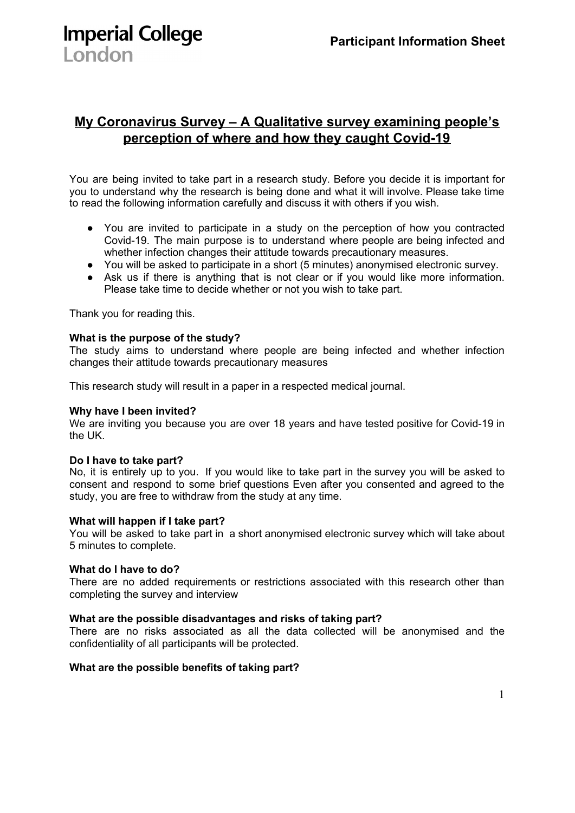**My Coronavirus Survey – A Qualitative survey examining people's perception of where and how they caught Covid-19**

You are being invited to take part in a research study. Before you decide it is important for you to understand why the research is being done and what it will involve. Please take time to read the following information carefully and discuss it with others if you wish.

- You are invited to participate in a study on the perception of how you contracted Covid-19. The main purpose is to understand where people are being infected and whether infection changes their attitude towards precautionary measures.
- You will be asked to participate in a short (5 minutes) anonymised electronic survey.
- Ask us if there is anything that is not clear or if you would like more information. Please take time to decide whether or not you wish to take part.

Thank you for reading this.

**Imperial College** 

London

#### **What is the purpose of the study?**

The study aims to understand where people are being infected and whether infection changes their attitude towards precautionary measures

This research study will result in a paper in a respected medical journal.

#### **Why have I been invited?**

We are inviting you because you are over 18 years and have tested positive for Covid-19 in the UK.

#### **Do I have to take part?**

No, it is entirely up to you. If you would like to take part in the survey you will be asked to consent and respond to some brief questions Even after you consented and agreed to the study, you are free to withdraw from the study at any time.

#### **What will happen if I take part?**

You will be asked to take part in a short anonymised electronic survey which will take about 5 minutes to complete.

#### **What do I have to do?**

There are no added requirements or restrictions associated with this research other than completing the survey and interview

#### **What are the possible disadvantages and risks of taking part?**

There are no risks associated as all the data collected will be anonymised and the confidentiality of all participants will be protected.

#### **What are the possible benefits of taking part?**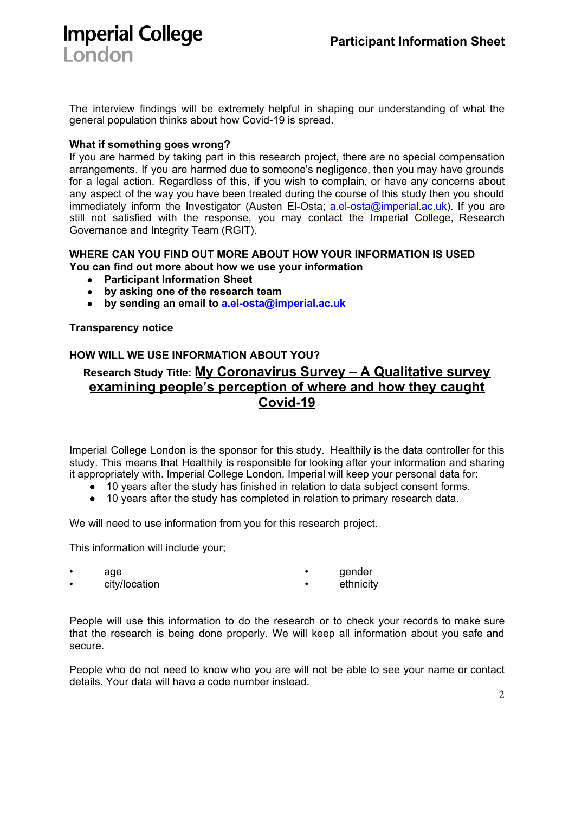# **Imperial College** London

The interview findings will be extremely helpful in shaping our understanding of what the general population thinks about how Covid-19 is spread.

## **What if something goes wrong?**

If you are harmed by taking part in this research project, there are no special compensation arrangements. If you are harmed due to someone's negligence, then you may have grounds for a legal action. Regardless of this, if you wish to complain, or have any concerns about any aspect of the way you have been treated during the course of this study then you should immediately inform the Investigator (Austen El-Osta; [a.el-osta@imperial.ac.uk](mailto:a.el-osta@imperial.ac.uk)). If you are still not satisfied with the response, you may contact the Imperial College, Research Governance and Integrity Team (RGIT).

## **WHERE CAN YOU FIND OUT MORE ABOUT HOW YOUR INFORMATION IS USED You can find out more about how we use your information**

- **● Participant Information Sheet**
- **● by asking one of the research team**
- **● by sending an email to [a.el-osta@imperial.ac.uk](mailto:a.el-osta@imperial.ac.uk)**

## **Transparency notice**

## **HOW WILL WE USE INFORMATION ABOUT YOU?**

## **Research Study Title: My Coronavirus Survey – A Qualitative survey examining people's perception of where and how they caught Covid-19**

Imperial College London is the sponsor for this study. Healthily is the data controller for this study. This means that Healthily is responsible for looking after your information and sharing it appropriately with. Imperial College London. Imperial will keep your personal data for:

- 10 years after the study has finished in relation to data subject consent forms.
- 10 years after the study has completed in relation to primary research data.

We will need to use information from you for this research project.

This information will include your;

• age • city/location • gender ethnicity

People will use this information to do the research or to check your records to make sure that the research is being done properly. We will keep all information about you safe and secure.

People who do not need to know who you are will not be able to see your name or contact details. Your data will have a code number instead.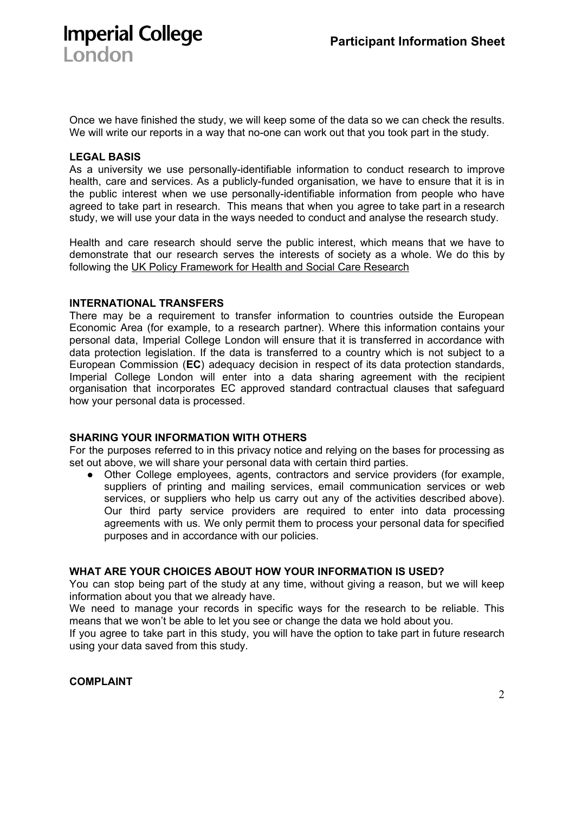Once we have finished the study, we will keep some of the data so we can check the results. We will write our reports in a way that no-one can work out that you took part in the study.

#### **LEGAL BASIS**

London

**Imperial College** 

As a university we use personally-identifiable information to conduct research to improve health, care and services. As a publicly-funded organisation, we have to ensure that it is in the public interest when we use personally-identifiable information from people who have agreed to take part in research. This means that when you agree to take part in a research study, we will use your data in the ways needed to conduct and analyse the research study.

Health and care research should serve the public interest, which means that we have to demonstrate that our research serves the interests of society as a whole. We do this by following the UK Policy [Framework](https://www.hra.nhs.uk/planning-and-improving-research/policies-standards-legislation/uk-policy-framework-health-social-care-research/) for Health and Social Care Research

## **INTERNATIONAL TRANSFERS**

There may be a requirement to transfer information to countries outside the European Economic Area (for example, to a research partner). Where this information contains your personal data, Imperial College London will ensure that it is transferred in accordance with data protection legislation. If the data is transferred to a country which is not subject to a European Commission (**EC**) adequacy decision in respect of its data protection standards, Imperial College London will enter into a data sharing agreement with the recipient organisation that incorporates EC approved standard contractual clauses that safeguard how your personal data is processed.

#### **SHARING YOUR INFORMATION WITH OTHERS**

For the purposes referred to in this privacy notice and relying on the bases for processing as set out above, we will share your personal data with certain third parties.

● Other College employees, agents, contractors and service providers (for example, suppliers of printing and mailing services, email communication services or web services, or suppliers who help us carry out any of the activities described above). Our third party service providers are required to enter into data processing agreements with us. We only permit them to process your personal data for specified purposes and in accordance with our policies.

## **WHAT ARE YOUR CHOICES ABOUT HOW YOUR INFORMATION IS USED?**

You can stop being part of the study at any time, without giving a reason, but we will keep information about you that we already have.

We need to manage your records in specific ways for the research to be reliable. This means that we won't be able to let you see or change the data we hold about you.

If you agree to take part in this study, you will have the option to take part in future research using your data saved from this study.

**COMPLAINT**